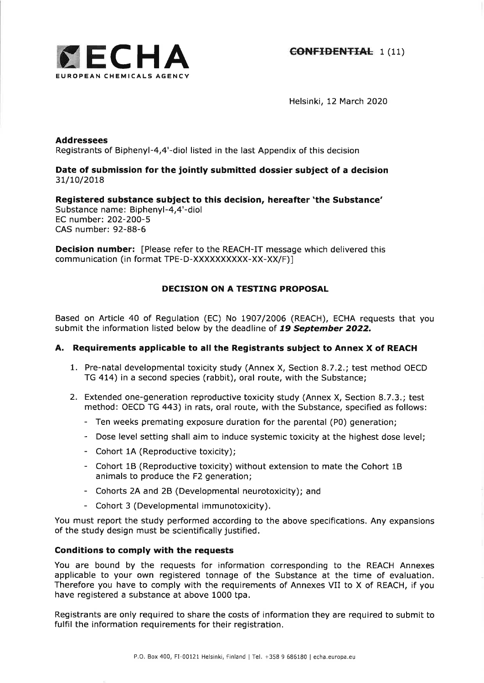

Helsinki, 12 March 2020

# Addressees Registrants of Biphenyl-4,4'-diol listed in the last Appendix of this decision

# Date of submission for the jointly submitted dossier subject of a decision 31/10/2018

Registered substance subject to this decision, hereafter 'the Substance' Substance name: Biphenyl-4,4'-diol EC number:2O2-2OO-5 CAS number: 92-88-6

**Decision number:** [Please refer to the REACH-IT message which delivered this communication (in format TPE-D-XXXXXXXXXX-XX-XX/F)]

# DECISION ON A TESTING PROPOSAL

Based on Article 4O of Regulation (EC) No L9O7/2006 (REACH), ECHA requests that you submit the information listed below by the deadline of 19 September 2022.

# A. Requirements applicable to all the Registrants subject to Annex X of REACH

- 1. Pre-natal developmental toxicity study (Annex X, Section 8.7.2.; test method OECD TG 414) in a second species (rabbit), oral route, with the Substance;
- 2. Extended one-generation reproductive toxicity study (Annex X, Section 8.7.3.; test method: OECD TG 443) in rats, oral route, with the Substance, specified as follows:
	- Ten weeks premating exposure duration for the parental (P0) generation;
	- Dose level setting shall aim to induce systemic toxicity at the highest dose level;
	- Cohort 1A (Reproductive toxicity);
	- Cohort 1B (Reproductive toxicity) without extension to mate the Cohort 1B animals to produce the F2 generation;
	- Cohorts 2A and 28 (Developmental neurotoxicity); and
	- Cohort 3 (Developmental immunotoxicity).

You must report the study performed according to the above specifications. Any expansions of the study design must be scientifically justified.

## Conditions to comply with the requests

You are bound by the requests for information corresponding to the REACH Annexes applicable to your own registered tonnage of the Substance at the time of evaluation. Therefore you have to comply with the requirements of Annexes VII to X of REACH, if you have registered a substance at above 1000 tpa,

Registrants are only required to share the costs of information they are required to submit to fulfil the information requirements for their registration.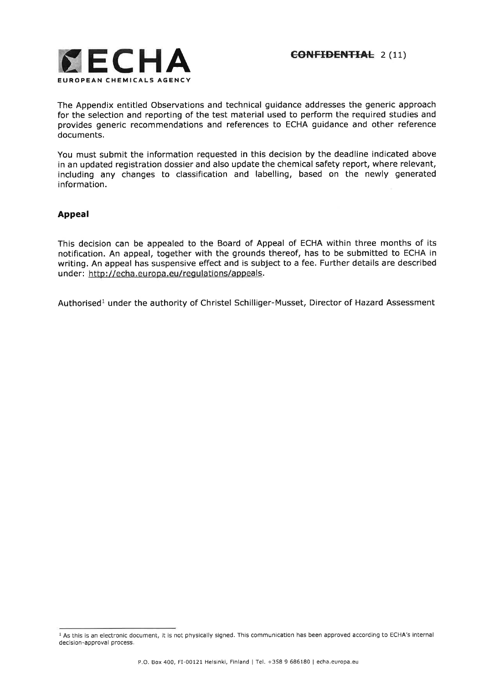

The Appendix entitled Observations and technical guidance addresses the generic approach for the selection and reporting of the test material used to perform the required studies and provides generic recommendations and references to ECHA guidance and other reference documents.

You must submit the information requested in this decision by the deadline indicated above in an updated registration dossier and also update the chemical safety report, where relevant, including any changes to classification and labelling, based on the newly generated information.

# Appeal

This decision can be appealed to the Board of Appeal of ECHA within three months of its notification. An appeal, together with the grounds thereof, has to be submitted to ECHA in writing. An appeal has suspensive effect and is subject to a fee. Further details are described under: http://echa.europa.eu/regulations/appeals.

Authorised<sup>1</sup> under the authority of Christel Schilliger-Musset, Director of Hazard Assessment

<sup>&</sup>lt;sup>1</sup> As this is an electronic document, it is not physically signed. This communication has been approved according to ECHA's internal decision-approval process.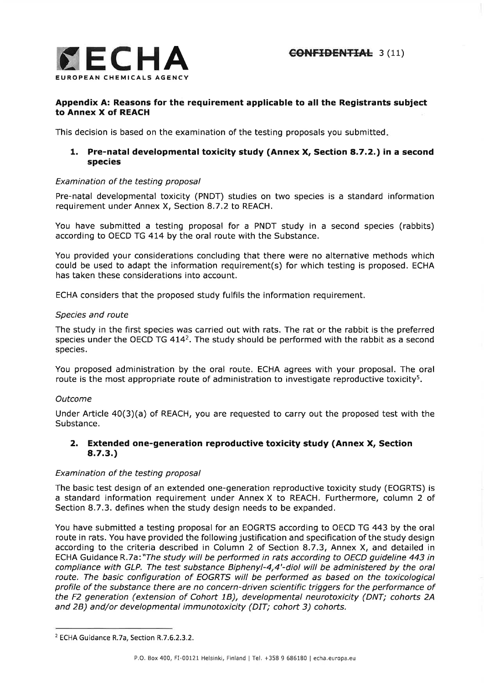

# Appendix A: Reasons for the requirement applicable to all the Registrants subject to Annex X of REACH

This decision is based on the examination of the testing proposals you submitted

# 1. Pre-natal developmental toxicity study (Annex X, Section a.7.2.) in a second species

## Examination of the testing proposal

Pre-natal developmental toxicity (PNDT) studies on two species is a standard information requirement under Annex X, Section 8.7.2 to REACH.

You have submitted a testing proposal for a PNDT study in a second species (rabbits) according to OECD TG 474 by the oral route with the Substance.

You provided your considerations concluding that there were no alternative methods which could be used to adapt the information requirement(s) for which testing is proposed. ECHA has taken these considerations into account.

ECHA considers that the proposed study fulfils the information requirement.

#### Species and route

The study in the first species was carried out with rats. The rat or the rabbit is the preferred species under the OECD TG  $414^2$ . The study should be performed with the rabbit as a second species.

You proposed administration by the oral route, ECHA agrees with your proposal. The oral route is the most appropriate route of administration to investigate reproductive toxicity<sup>5</sup>.

## Outcome

Under Article  $40(3)(a)$  of REACH, you are requested to carry out the proposed test with the Substance.

## 2. Extended one-generation reproductive toxicity study (Annex X, Section 8.7.3.)

## Examination of the testing proposal

The basic test design of an extended one-generation reproductive toxicity study (EOGRTS) is a standard information requirement under Annex X to REACH. Furthermore, column 2 of Section 8.7.3. defines when the study design needs to be expanded.

You have submitted a testing proposal for an EOGRTS according to OECD TG 443 by the oral route in rats. You have provided the following justification and specification of the study design according to the criteria described in Column 2 of Section 8.7.3, Annex X, and detailed in ECHA Guidance R.7a: "The study will be performed in rats according to OECD quideline 443 in compliance with GLP. The test substance Biphenyl-4,4'-diol will be administered by the oral route. The basic configuration of EOGRTS will be performed as based on the toxicological profile of the substance there are no concern-driven scientific triggers for the performance of the F2 generation (extension of Cohort 1B), developmental neurotoxicity (DNT; cohorts 24 and 28) and/or developmental immunotoxicity (DIT; cohort 3) cohorts.

<sup>2</sup>ECHA Guidance R.7a, Section R.7.6.2.3.2.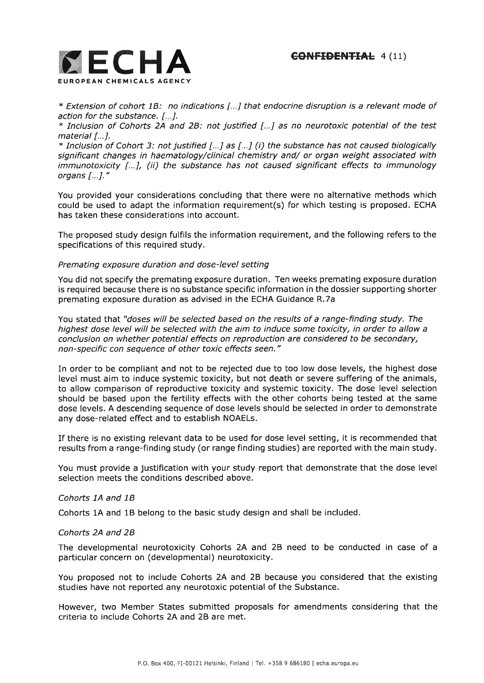

\* Extension of cohort 7B: no indications [...] that endocrine disruption is a relevant mode of action for the substance. [...].

 $*$  Inclusion of Cohorts 2A and 2B: not justified [...] as no neurotoxic potential of the test material [...].

 $*$  Inclusion of Cohort 3: not justified [...] as [...] (i) the substance has not caused biologically significant changes in haematology/clinical chemistry and/ or organ weight associated with immunotoxicity [...], (ii) the substance has not caused significant effects to immunology organs [...].'

You provided your considerations concluding that there were no alternative methods which could be used to adapt the information requirement(s) for which testing is proposed. ECHA has taken these considerations into account.

The proposed study design fulfils the information requirement, and the following refers to the specifications of this required study.

#### Premating exposure duration and dose-level setting

You did not specify the premating exposure duration. Ten weeks premating exposure duration is required because there is no substance specific information in the dossier supporting shorter premating exposure duration as advised in the ECHA Guidance R.7a

You stated that "doses will be selected based on the results of a range-finding study. The highest dose level will be selected with the aim to induce some toxicity, in order to allow a conclusion on whether potential effects on reproduction are considered to be secondary, non-specific con sequence of other toxic effects seen,"

In order to be compliant and not to be rejected due to too low dose levels, the highest dose level must aim to induce systemic toxicity, but not death or severe suffering of the animals, to allow comparison of reproductive toxicity and systemic toxicity. The dose level selection should be based upon the fertility effects with the other cohorts being tested at the same dose levels. A descending sequence of dose levels should be selected in order to demonstrate any dose-related effect and to establish NOAELS.

If there is no existing relevant data to be used for dose level setting, it is recommended that results from a range-finding study (or range finding studies) are reported with the main study.

You must provide a justification with your study report that demonstrate that the dose level selection meets the conditions described above.

#### Cohorts 1A and 18

Cohorts 1A and 1B belong to the basic study design and shall be included.

## Cohorts 2A and 28

The developmental neurotoxicity Cohorts 2A and 28 need to be conducted in case of <sup>a</sup> particular concern on (developmental) neurotoxicity.

You proposed not to include Cohorts 2A and 28 because you considered that the existing studies have not reported any neurotoxic potential of the Substance,

However, two Member States submitted proposals for amendments considering that the criteria to include Cohorts 2A and 2B are met.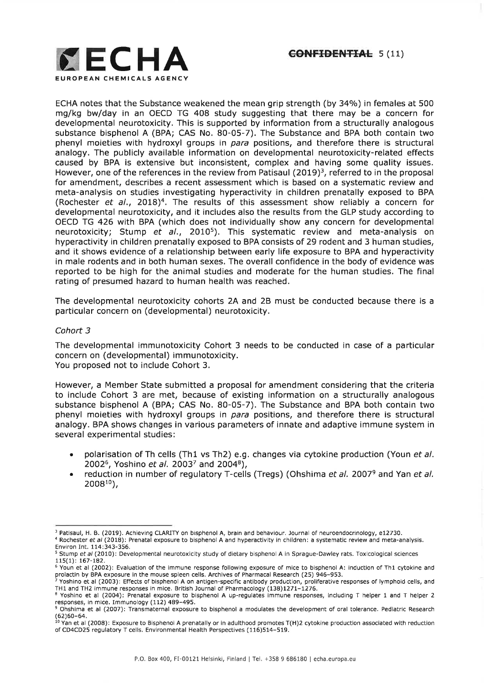

ECHA notes that the Substance weakened the mean grip strength (by 34%) in females at 500 mglkg bw/day in an OECD TG 408 study suggesting that there may be a concern for developmental neurotoxicity. This is supported by information from a structurally analogous substance bisphenol A (BPA; CAS No. 80-05-7). The Substance and BPA both contain two phenyl moieties with hydroxyl groups in para positions, and therefore there is structural analogy. The publicly available information on developmental neurotoxicity-related effects caused by BPA is extensive but inconsistent, complex and having some quality issues. However, one of the references in the review from Patisaul (2019)<sup>3</sup>, referred to in the proposal for amendment, describes a recent assessment which is based on a systematic review and meta-analysis on studies investigating hyperactivity in children prenatally exposed to BPA (Rochester et al., 2018)<sup>4</sup>. The results of this assessment show reliably a concern for developmental neurotoxicity, and it includes also the results from the GLP study according to OECD TG 426 with BPA (which does not individually show any concern for developmental neurotoxicity; Stump et al., 2010<sup>5</sup>). This systematic review and meta-analysis on hyperactivity in children prenatally exposed to BPA consists of 29 rodent and 3 human studies, and it shows evidence of a relationship between early life exposure to BPA and hyperactivity in male rodents and in both human sexes, The overall confidence in the body of evidence was reported to be high for the animal studies and moderate for the human studies, The final rating of presumed hazard to human health was reached.

The developmental neurotoxicity cohorts 2A and 28 must be conducted because there is <sup>a</sup> particular concern on (developmental) neurotoxicity.

#### Cohort 3

The developmental immunotoxicity Cohort 3 needs to be conducted in case of a particular concern on (developmental) immunotoxicity. You proposed not to include Cohort 3.

However, a Member State submitted a proposal for amendment considering that the criteria to include Cohort 3 are met, because of existing information on a structurally analogous substance bisphenol A (BPA; CAS No. 80-05-7), The Substance and BPA both contain two phenyl moieties with hydroxyl groups in para positions, and therefore there is structural analogy. BPA shows changes in various parameters of innate and adaptive immune system in several experimental studies:

- polarisation of Th cells (Th1 vs Th2) e.g. changes via cytokine production (Youn et al. 2002<sup>6</sup>, Yoshino *et al.* 2003<sup>7</sup> and 2004<sup>8</sup>), a
- reduction in number of regulatory T-cells (Tregs) (Ohshima et al. 2007<sup>9</sup> and Yan et al.  $2008^{10}$ ), a

<sup>&</sup>lt;sup>3</sup> Patisaul, H. B. (2019). Achieving CLARITY on bisphenol A, brain and behaviour. Journal of neuroendocrinology, e12730.

<sup>&</sup>lt;sup>4</sup> Rochester et al (2018): Prenatal exposure to bisphenol A and hyperactivity in children: a systematic review and meta-analysis. Environ Int. 114:343-356.

<sup>&</sup>lt;sup>5</sup> Stump et al (2010): Developmental neurotoxicity study of dietary bisphenol A in Sprague-Dawley rats. Toxicological sciences 115(1):167-182.

<sup>&</sup>lt;sup>6</sup> Youn et al (2002): Evaluation of the immune response following exposure of mice to bisphenol A: induction of Th1 cytokine and prolactin by BPA exposure in the mouse spleen cells. Archives of Pharmacal Research (25) 946-953.

<sup>7</sup>Yoshino et al (2003): Effects of bisphenol A on antigen-specific antibody production, proliferative responses of lymphoid cells, and TH1 and TH2 immune responses in mice. British Journal of Pharmacology (138)1271-1276. 8Yoshino et al (2004): Prenatal exposure to bisphenol A up-regulates immune responses, including T helper 1 and T helper 2

responses, in mice. Immunology (112) 489-495. <sup>9</sup> Ohshima et al (2007): Transmaternal exposure to bisphenol a modulates the development of oral tolerance. Pediatric Research

<sup>(62)60-64.</sup>  $^{10}$  Yan et al (2008): Exposure to Bisphenol A prenatally or in adulthood promotes T(H)2 cytokine production associated with reduction of CD4CD25 regulatory T cells. Environmental Health Perspectives (116)514-519.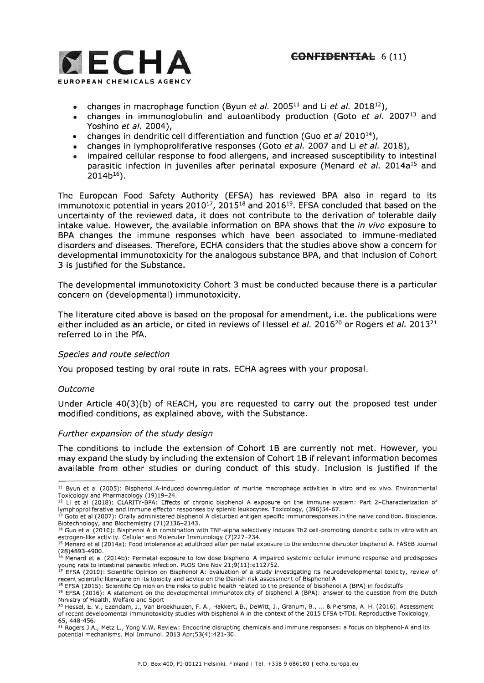

- changes in macrophage function (Byun et al. 2005<sup>11</sup> and Li et al. 2018<sup>12</sup>)
- changes in immunoglobulin and autoantibody production (Goto  $et$  al. 2007<sup>13</sup> and Yoshino et al. 2OO4),
- changes in dendritic cell differentiation and function (Guo et al 2010<sup>14</sup>)
- changes in lymphoproliferative responses (Goto et al. 2007 and Li et al. 2018).
- impaired cellular response to food allergens, and increased susceptibility to intestinal parasitic infection in juveniles after perinatal exposure (Menard et al. 2014a<sup>15</sup> and  $2014b^{16}$ ). a

The European Food Safety Authority (EFSA) has reviewed BPA also in regard to its immunotoxic potential in years  $2010^{17}$ ,  $2015^{18}$  and  $2016^{19}$ . EFSA concluded that based on the uncertainty of the reviewed data, it does not contribute to the derivation of tolerable daily intake value. However, the available information on BPA shows that the *in vivo* exposure to BPA changes the immune responses which have been associated to immune-mediated disorders and diseases. Therefore, ECHA considers that the studies above show a concern for developmental immunotoxicity for the analogous substance BPA, and that inclusion of Cohort 3 is justified for the Substance.

The developmental immunotoxicity Cohort 3 must be conducted because there is a particular concern on (developmental) immunotoxicity,

The literature cited above is based on the proposal for amendment, i.e. the publications were either included as an article, or cited in reviews of Hessel et al. 2016<sup>20</sup> or Rogers et al. 2013<sup>21</sup> referred to in the PfA.

## Species and route selection

You proposed testing by oral route in rats. ECHA agrees with your proposal

#### **Outcome**

Under Article 40(3)(b) of REACH, you are requested to carry out the proposed test under modified conditions, as explained above, with the Substance.

#### Further expansion of the study design

The conditions to include the extension of Cohort 1B are currently not met. However, you may expand the study by including the extension of Cohort 1B if relevant information becomes available from other studies or during conduct of this study. Inclusion is justified if the

<sup>&</sup>lt;sup>11</sup> Byun et al (2005): Bisphenol A-induced downregulation of murine macrophage activities in vitro and ex vivo. Environmental Toxicology and Pharmacology (19) 19-24.

 $12$  Li et al (2018): CLARITY-BPA: Effects of chronic bisphenol A exposure on the immune system: Part 2-Characterization of lymphoproliferative and immune effector responses by splenic leukocytes. Toxicology, (396)54-67.

 $^{13}$  Goto et al (2007): Orally administered bisphenol A disturbed antigen specific immunoresponses in the naive condition. Bioscience Biotechnology, and Biochemistry (71)2136-2143.

<sup>&</sup>lt;sup>14</sup> Guo et al (2010): Bisphenol A in combination with TNF-alpha selectively induces Th2 cell-promoting dendritic cells in vitro with an estrogen-like activity. Cellular and Molecular Immunology (7)227-234.

<sup>1</sup>s Menard et al (2014a): Food intolerance at adulthood after perinatal exposure to the endocrine disruptor bisphenol A. FASEB Journal (28)4893-4900.

<sup>16</sup> Menard et al (2014b): Perinatal exposure to low dose bisphenol A impaired systemic cellular immune response and predisposes young rats to intestinal parasitic infection. PLOS One Nov 21;9(11):e112752.

 $^{17}$  EFSA (2010): Scientific Opinion on Bisphenol A: evaluation of a study investigating its neurodevelopmental toxicity, review of recent scientific literature on its toxicity and advice on the Danish risk assessment of Bisphenol A

<sup>&</sup>lt;sup>18</sup> EFSA (2015): Scientific Opinion on the risks to public health related to the presence of bisphenol A (BPA) in foodstuffs

<sup>&</sup>lt;sup>19</sup> EFSA (2016): A statement on the developmental immunotoxicity of bisphenol A (BPA): answer to the question from the Dutch Ministry of Health, Welfare and Sport

 $^{20}$  Hessel, E. V., Ezendam, J., Van Broekhuizen, F. A., Hakkert, B., DeWitt, J., Granum, B.,  $\dots$  & Piersma, A. H. (2016). Assessment of recent developmental immunotoxicity studies with bisphenol A in the context of the 2015 EFSA t-TDL Reproductive Toxicology, 65,448-456.

<sup>21</sup> Rogers J.A., Metz L., Yong V.W. Review: Endocrine disrupting chemicals and immune responses: a focus on bisphenol-A and its potential mechanisms. Mol Immunol. 2013 Apr;53(4):421-30.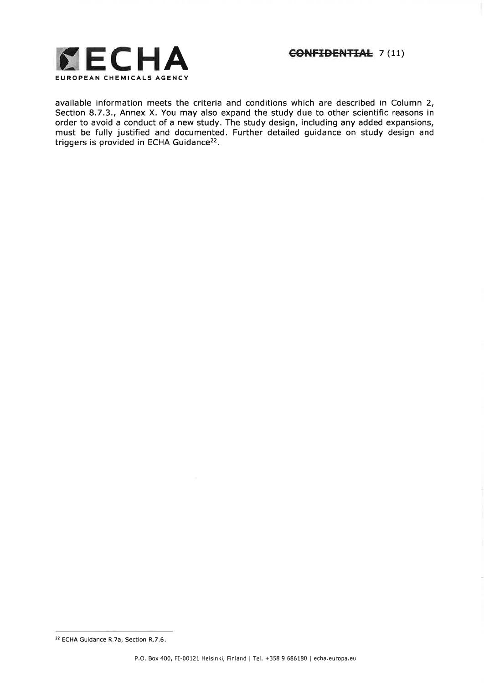

available information meets the criteria and conditions which are described in Column 2, Section 8.7.3., Annex X. You may also expand the study due to other scientific reasons in order to avoid a conduct of a new study. The study design, including any added expansions, must be fully justified and documented. Further detailed guidance on study design and triggers is provided in ECHA Guidance<sup>22</sup>.

<sup>22</sup>ECHA Guidance R.7a, Section R.7.6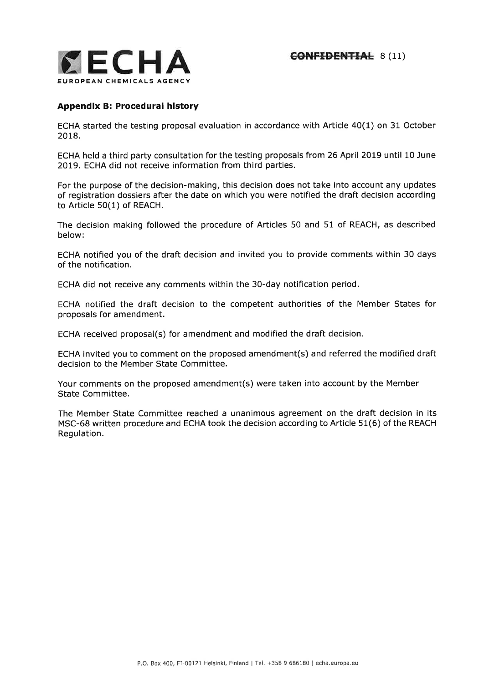

# Appendix B: Procedural history

ECHA started the testing proposal evaluation in accordance with Article 40(1) on 31 October 2018,

ECHA held a third party consultation for the testing proposals from 26 April 2019 until 10 June 2OI9. ECHA did not receive information from third parties.

For the purpose of the decision-making, this decision does not take into account any updates of registration dossiers after the date on which you were notified the draft decision according to Article 50(1) of REACH.

The decision making followed the procedure of Articles 50 and 51 of REACH, as described below:

ECHA notified you of the draft decision and invited you to provide comments within 30 days of the notification.

ECHA did not receive any comments within the 30-day notification period.

ECHA notified the draft decision to the competent authorities of the Member States for proposals for amendment.

ECHA received proposal(s) for amendment and modified the draft decision.

ECHA invited you to comment on the proposed amendment(s) and referred the modified draft decision to the Member State Committee.

Your comments on the proposed amendment(s) were taken into account by the Member State Committee.

The Member State Committee reached a unanimous agreement on the draft decision in its MSC-68 written procedure and ECHA took the decision according to Article 51(6) of the REACH Regulation.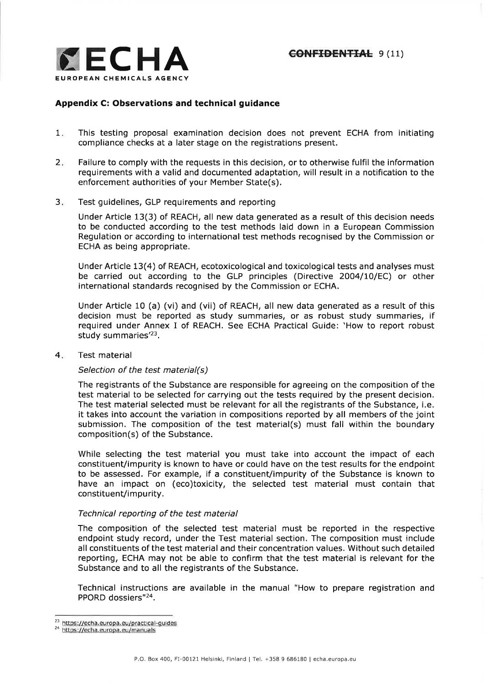

# Appendix C: Observations and technical guidance

- This testing proposal examination decision does not prevent ECHA from initiating compliance checks at a later stage on the registrations present.  $1.$
- Failure to comply with the requests in this decision, or to otherwise fulfil the information requirements with a valid and documented adaptation, will result in a notification to the enforcement authorities of your Member State(s),  $2.$
- Test guidelines, GLP requirements and reporting  $3.$

Under Article 13(3) of REACH, all new data generated as a result of this decision needs to be conducted according to the test methods laid down in a European Commission Regulation or according to international test methods recognised by the Commission or ECHA as being appropriate.

Under Article 13(4) of REACH, ecotoxicological and toxicological tests and analyses must be carried out according to the GLP principles (Directive 2OO4/10/EC) or other international standards recognised by the Commission or ECHA.

Under Article 10 (a) (vi) and (vii) of REACH, all new data generated as a result of this decision must be reported as study summaries, or as robust study summaries, if required under Annex I of REACH. See ECHA Practical Guide: 'How to report robust study summaries'23,

#### Test material  $4.$

## Selection of the test material(s)

The registrants of the Substance are responsible for agreeing on the composition of the test material to be selected for carrying out the tests required by the present decision. The test material selected must be relevant for all the registrants of the Substance, i,e. it takes into account the variation in compositions reported by all members of the joint submission. The composition of the test material(s) must fall within the boundary composition(s) of the Substance.

While selecting the test material you must take into account the impact of each constituent/impurity is known to have or could have on the test results for the endpoint to be assessed. For example, if a constituent/impurity of the Substance is known to have an impact on (eco)toxicity, the selected test material must contain that constituent/impurity.

## Technical reporting of the test material

The composition of the selected test material must be reported in the respective endpoint study record, under the Test material section. The composition must include all constituents of the test material and their concentration values. Without such detailed reporting, ECHA may not be able to confirm that the test material is relevant for the Substance and to all the registrants of the Substance.

Technical instructions are available in the manual "How to prepare registration and PPORD dossiers"2a.

<sup>23</sup> https://echa.europa.eu/practical-guides

<sup>2</sup>a httos ://echa.europa.eu/manuals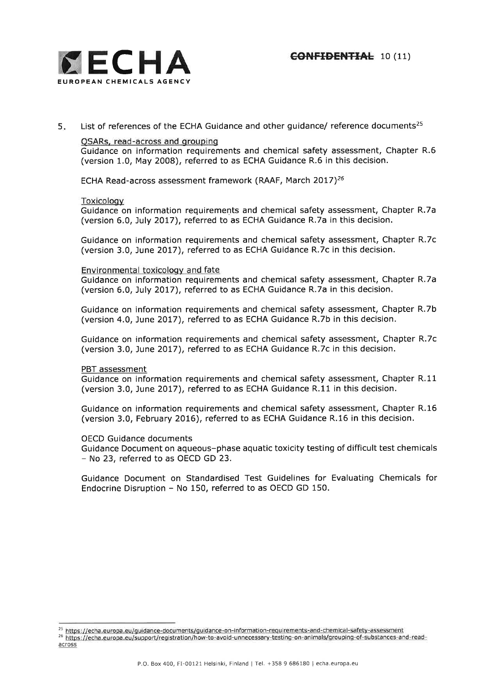



List of references of the ECHA Guidance and other guidance/ reference documents<sup>25</sup> 5

QSARs, read-across and groupinq

Guidance on information requirements and chemical safety assessment, Chapter R.6 (version 1.0, May 2008), referred to as ECHA Guidance R.6 in this decision.

ECHA Read-across assessment framework (RAAF, March 2017)<sup>26</sup>

#### Toxicoloqv

Guidance on information requirements and chemical safety assessment, Chapter R.7a (version 6.0, July 2017), referred to as ECHA Guidance R.7a in this decision.

Guidance on information requirements and chemical safety assessment, Chapter R.7c (version 3.0, June 2017), referred to as ECHA Guidance R.7c in this decision.

#### Environmental toxicolooy and fate

Guidance on information requirements and chemical safety assessment, Chapter R.7a (version 6,0, July 2077), referred to as ECHA Guidance R.7a in this decision.

Guidance on information requirements and chemical safety assessment, Chapter R.7b (version 4.0, June 2017), referred to as ECHA Guidance R.7b in this decision.

Guidance on information requirements and chemical safety assessment, Chapter R.7c (version 3.0, June 2017), referred to as ECHA Guidance R.7c in this decision.

PBT assessment

Guidance on information requirements and chemical safety assessment, Chapter R.11 (version 3.0, June 2017), referred to as ECHA Guidance R.11 in this decision.

Guidance on information requirements and chemical safety assessment, Chapter R.16 (version 3.0, February 2O16), referred to as ECHA Guidance R.16 in this decision.

OECD Guidance documents

Guidance Document on aqueous-phase aquatic toxicity testing of difficult test chemicals - No 23, referred to as OECD GD 23.

Guidance Document on Standardised Test Guidelines for Evaluating Chemicals for Endocrine Disruption - No 150, referred to as OECD GD 150,

<sup>&</sup>lt;sup>25</sup> https://echa.europa.eu/guidance-documents/guidance-on-information-requirements-and-chemical-safety-assessment

<sup>26</sup> https://echa.europa.eu/support/registration/how-to-avoid-unnecessary-testing-on-animals/grouping-of-substances-and-readacross